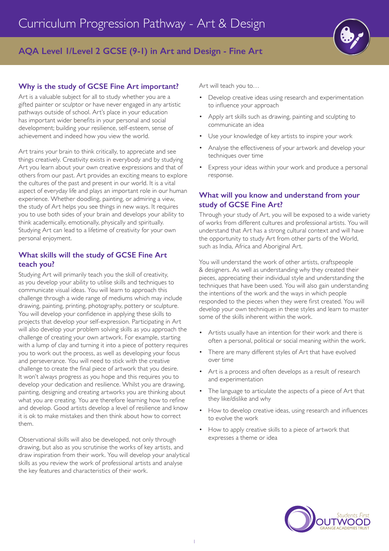

# **AQA Level 1/Level 2 GCSE (9-1) in Art and Design - Fine Art**

# **Why is the study of GCSE Fine Art important?**

Art is a valuable subject for all to study whether you are a gifted painter or sculptor or have never engaged in any artistic pathways outside of school. Art's place in your education has important wider benefits in your personal and social development; building your resilience, self-esteem, sense of achievement and indeed how you view the world.

Art trains your brain to think critically, to appreciate and see things creatively. Creativity exists in everybody and by studying Art you learn about your own creative expressions and that of others from our past. Art provides an exciting means to explore the cultures of the past and present in our world. It is a vital aspect of everyday life and plays an important role in our human experience. Whether doodling, painting, or admiring a view, the study of Art helps you see things in new ways. It requires you to use both sides of your brain and develops your ability to think academically, emotionally, physically and spiritually. Studying Art can lead to a lifetime of creativity for your own personal enjoyment.

# **What skills will the study of GCSE Fine Art teach you?**

Studying Art will primarily teach you the skill of creativity, as you develop your ability to utilise skills and techniques to communicate visual ideas. You will learn to approach this challenge through a wide range of mediums which may include drawing, painting, printing, photography, pottery or sculpture. You will develop your confidence in applying these skills to projects that develop your self-expression. Participating in Art will also develop your problem solving skills as you approach the challenge of creating your own artwork. For example, starting with a lump of clay and turning it into a piece of pottery requires you to work out the process, as well as developing your focus and perseverance. You will need to stick with the creative challenge to create the final piece of artwork that you desire. It won't always progress as you hope and this requires you to develop your dedication and resilience. Whilst you are drawing, painting, designing and creating artworks you are thinking about what you are creating. You are therefore learning how to refine and develop. Good artists develop a level of resilience and know it is ok to make mistakes and then think about how to correct them.

Observational skills will also be developed, not only through drawing, but also as you scrutinise the works of key artists, and draw inspiration from their work. You will develop your analytical skills as you review the work of professional artists and analyse the key features and characteristics of their work.

Art will teach you to…

- Develop creative ideas using research and experimentation to influence your approach
- Apply art skills such as drawing, painting and sculpting to communicate an idea
- Use your knowledge of key artists to inspire your work
- Analyse the effectiveness of your artwork and develop your techniques over time
- Express your ideas within your work and produce a personal response.

# **What will you know and understand from your study of GCSE Fine Art?**

Through your study of Art, you will be exposed to a wide variety of works from different cultures and professional artists. You will understand that Art has a strong cultural context and will have the opportunity to study Art from other parts of the World, such as India, Africa and Aboriginal Art.

You will understand the work of other artists, craftspeople & designers. As well as understanding why they created their pieces, appreciating their individual style and understanding the techniques that have been used. You will also gain understanding the intentions of the work and the ways in which people responded to the pieces when they were first created. You will develop your own techniques in these styles and learn to master some of the skills inherent within the work.

- Artists usually have an intention for their work and there is often a personal, political or social meaning within the work.
- There are many different styles of Art that have evolved over time
- Art is a process and often develops as a result of research and experimentation
- The language to articulate the aspects of a piece of Art that they like/dislike and why
- How to develop creative ideas, using research and influences to evolve the work
- How to apply creative skills to a piece of artwork that expresses a theme or idea

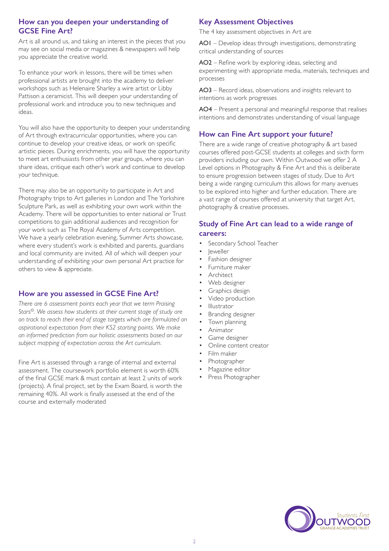# **How can you deepen your understanding of GCSE Fine Art?**

Art is all around us, and taking an interest in the pieces that you may see on social media or magazines & newspapers will help you appreciate the creative world.

To enhance your work in lessons, there will be times when professional artists are brought into the academy to deliver workshops such as Helenaire Sharley a wire artist or Libby Pattison a ceramicist. This will deepen your understanding of professional work and introduce you to new techniques and ideas.

You will also have the opportunity to deepen your understanding of Art through extracurricular opportunities, where you can continue to develop your creative ideas, or work on specific artistic pieces. During enrichments, you will have the opportunity to meet art enthusiasts from other year groups, where you can share ideas, critique each other's work and continue to develop your technique.

There may also be an opportunity to participate in Art and Photography trips to Art galleries in London and The Yorkshire Sculpture Park, as well as exhibiting your own work within the Academy. There will be opportunities to enter national or Trust competitions to gain additional audiences and recognition for your work such as The Royal Academy of Arts competition. We have a yearly celebration evening, Summer Arts showcase, where every student's work is exhibited and parents, guardians and local community are invited. All of which will deepen your understanding of exhibiting your own personal Art practice for others to view & appreciate.

#### **How are you assessed in GCSE Fine Art?**

*There are 6 assessment points each year that we term Praising Stars©. We assess how students at their current stage of study are on track to reach their end of stage targets which are formulated on aspirational expectation from their KS2 starting points. We make an informed prediction from our holistic assessments based on our subject mapping of expectation across the Art curriculum.* 

Fine Art is assessed through a range of internal and external assessment. The coursework portfolio element is worth 60% of the final GCSE mark & must contain at least 2 units of work (projects). A final project, set by the Exam Board, is worth the remaining 40%. All work is finally assessed at the end of the course and externally moderated

# **Key Assessment Objectives**

The 4 key assessment objectives in Art are

AO1 – Develop ideas through investigations, demonstrating critical understanding of sources

AO2 – Refine work by exploring ideas, selecting and experimenting with appropriate media, materials, techniques and processes

AO3 – Record ideas, observations and insights relevant to intentions as work progresses

AO4 – Present a personal and meaningful response that realises intentions and demonstrates understanding of visual language

# **How can Fine Art support your future?**

There are a wide range of creative photography & art based courses offered post-GCSE students at colleges and sixth form providers including our own. Within Outwood we offer 2 A Level options in Photography & Fine Art and this is deliberate to ensure progression between stages of study. Due to Art being a wide ranging curriculum this allows for many avenues to be explored into higher and further education. There are a vast range of courses offered at university that target Art, photography & creative processes.

### **Study of Fine Art can lead to a wide range of careers:**

- Secondary School Teacher
- Jeweller
- Fashion designer
- Furniture maker
- **Architect**
- Web designer
- Graphics design
- Video production
- Illustrator
- Branding designer
- Town planning
- Animator
- Game designer
- Online content creator
- Film maker
- Photographer
- Magazine editor
- Press Photographer